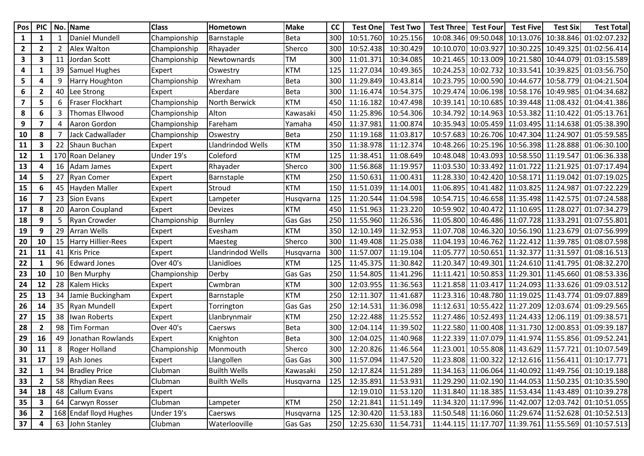| Pos                     | <b>PIC</b>              | No.            | Name                      | <b>Class</b> | Hometown            | <b>Make</b> | cc  | <b>Test One</b>         | <b>Test Two</b>     | <b>Test Three</b> | <b>Test Four</b>    | <b>Test Five</b>                        | <b>Test Six</b>     | <b>Test Total</b>                                    |
|-------------------------|-------------------------|----------------|---------------------------|--------------|---------------------|-------------|-----|-------------------------|---------------------|-------------------|---------------------|-----------------------------------------|---------------------|------------------------------------------------------|
| $\mathbf{1}$            | $\mathbf{1}$            | 1              | Daniel Mundell            | Championship | Barnstaple          | <b>Beta</b> | 300 | 10:51.760               | 10:25.156           | 10:08.346         | 09:50.048           | 10:13.076                               |                     | 10:38.846 01:02:07.232                               |
| $\mathbf{2}$            | $\mathbf{2}$            | $\overline{2}$ | <b>Alex Walton</b>        | Championship | Rhayader            | Sherco      | 300 | 10:52.438               | 10:30.429           | 10:10.070         | 10:03.927           | 10:30.225                               |                     | 10:49.325 01:02:56.414                               |
| 3                       | 3                       | 11             | Jordan Scott              | Championship | Newtownards         | TM          | 300 | 11:01.371               | 10:34.085           | 10:21.465         | 10:13.009           |                                         |                     | 10:21.580 10:44.079 01:03:15.589                     |
| 4                       | $\mathbf{1}$            | 39             | Samuel Hughes             | Expert       | Oswestry            | <b>KTM</b>  | 125 | 11:27.034               | 10:49.365           | 10:24.253         | 10:02.732           | 10:33.541                               |                     | 10:39.825 01:03:56.750                               |
| 5                       | 4                       | 9              | <b>Harry Houghton</b>     | Championship | Wrexham             | <b>Beta</b> | 300 | 11:29.849               | 10:43.814           | 10:23.795         | 10:00.590           | 10:44.677                               |                     | 10:58.779 01:04:21.504                               |
| 6                       | 2                       | 40             | Lee Strong                | Expert       | Aberdare            | Beta        | 300 | 11:16.474               | 10:54.375           | 10:29.474         |                     |                                         |                     | 10:06.198 10:58.176 10:49.985 01:04:34.682           |
| $\overline{\mathbf{z}}$ | 5                       | 6              | Fraser Flockhart          | Championship | North Berwick       | <b>KTM</b>  | 450 | 11:16.182               | 10:47.498           | 10:39.141         | 10:10.685           |                                         |                     | 10:39.448 11:08.432 01:04:41.386                     |
| 8                       | 6                       | 3              | <b>Thomas Ellwood</b>     | Championship | Alton               | Kawasaki    | 450 | 11:25.896               | 10:54.306           | 10:34.792         |                     |                                         |                     | 10:14.963 10:53.382 11:10.422 01:05:13.761           |
| 9                       | $\overline{\mathbf{z}}$ | 4              | Aaron Gordon              | Championship | Fareham             | Yamaha      | 450 | 11:37.981               | 11:00.874           | 10:35.943         |                     |                                         |                     | 10:05.459 11:03.495 11:14.638 01:05:38.390           |
| 10                      | 8                       | 7              | Jack Cadwallader          | Championship | Oswestry            | <b>Beta</b> | 250 | 11:19.168               | 11:03.817           | 10:57.683         | 10:26.706           | 10:47.304 11:24.907                     |                     | 01:05:59.585                                         |
| 11                      | 3                       | 22             | Shaun Buchan              | Expert       | Llandrindod Wells   | <b>KTM</b>  | 350 | 11:38.978               | 11:12.374           | 10:48.266         |                     |                                         |                     | 10:25.196 10:56.398 11:28.888 01:06:30.100           |
| 12                      | 1                       | 170            | Roan Delaney              | Under 19's   | Coleford            | <b>KTM</b>  | 125 | 11:38.451               | 11:08.649           | 10:48.048         |                     | 10:43.093 10:58.550 11:19.547           |                     | 01:06:36.338                                         |
| 13                      | 4                       | 16             | Adam James                | Expert       | Rhayader            | Sherco      | 300 | 11:56.868               | 11:19.957           | 11:03.530         | 10:33.492           |                                         | 11:01.722 11:21.925 | 01:07:17.494                                         |
| 14                      | 5                       | 27             | <b>Ryan Comer</b>         | Expert       | Barnstaple          | <b>KTM</b>  | 250 | 11:50.631               | 11:00.431           | 11:28.330         |                     |                                         |                     | 10:42.420 10:58.171 11:19.042 01:07:19.025           |
| 15                      | 6                       | 45             | Hayden Maller             | Expert       | Stroud              | <b>KTM</b>  | 150 | 11:51.039               | 11:14.001           | 11:06.895         |                     | 10:41.482 11:03.825 11:24.987           |                     | 01:07:22.229                                         |
| 16                      | $\overline{\mathbf{z}}$ | 23             | <b>Sion Evans</b>         | Expert       | Lampeter            | Husqvarna   | 125 | 11:20.544               | 11:04.598           | 10:54.715         |                     |                                         |                     | 10:46.658 11:35.498 11:42.575 01:07:24.588           |
| 17                      | 8                       | 20             | Aaron Coupland            | Expert       | Devizes             | <b>KTM</b>  | 450 | 11:51.963               | 11:23.220           | 10:59.902         |                     | 10:40.472 11:10.695 11:28.027           |                     | 01:07:34.279                                         |
| 18                      | 9                       | 5              | <b>Ryan Crowder</b>       | Championship | Burnley             | Gas Gas     | 250 | 11:55.960               | 11:26.536           |                   |                     | 11:05.800 10:46.486 11:07.728 11:33.291 |                     | 01:07:55.801                                         |
| 19                      | 9                       | 29             | <b>Arran Wells</b>        | Expert       | Evesham             | <b>KTM</b>  | 350 | 12:10.149               | 11:32.953           | 11:07.708         | 10:46.320           |                                         |                     | 10:56.190 11:23.679 01:07:56.999                     |
| 20                      | 10                      | 15             | <b>Harry Hillier-Rees</b> | Expert       | Maesteg             | Sherco      | 300 | 11:49.408               | 11:25.038           | 11:04.193         | 10:46.762           |                                         |                     | 11:22.412 11:39.785 01:08:07.598                     |
| 21                      | 11                      | 41             | <b>Kris Price</b>         | Expert       | Llandrindod Wells   | Husqvarna   | 300 | 11:57.007               | 11:19.104           | 11:05.777         | 10:50.651           | 11:32.377                               | 11:31.597           | 01:08:16.513                                         |
| 22                      | 1                       | 96             | <b>Edward Jones</b>       | Over 40's    | Llanidloes          | <b>KTM</b>  | 125 | 11:45.375               | 11:30.842           | 11:20.347         | 10:49.301           |                                         |                     | 11:24.610 11:41.795 01:08:32.270                     |
| 23                      | 10                      | 10             | <b>Ben Murphy</b>         | Championship | Derby               | Gas Gas     | 250 | 11:54.805               | 11:41.296           | 11:11.421         |                     |                                         |                     | 10:50.853 11:29.301 11:45.660 01:08:53.336           |
| 24                      | 12                      | 28             | Kalem Hicks               | Expert       | Cwmbran             | <b>KTM</b>  | 300 | 12:03.955               | 11:36.563           |                   | 11:21.858 11:03.417 |                                         |                     | 11:24.093 11:33.626 01:09:03.512                     |
| 25                      | 13                      | 34             | Jamie Buckingham          | Expert       | Barnstaple          | <b>KTM</b>  | 250 | 12:11.307               | 11:41.687           | 11:23.316         |                     |                                         |                     | 10:48.780 11:19.025 11:43.774 01:09:07.889           |
| 26                      | 14                      | 35             | <b>Ryan Mundell</b>       | Expert       | Torrington          | Gas Gas     | 250 | 12:14.531               | 11:36.098           | 11:12.631         | 10:55.422           | 11:27.209                               | 12:03.674           | 01:09:29.565                                         |
| 27                      | 15                      | 38             | Iwan Roberts              | Expert       | Llanbrynmair        | <b>KTM</b>  | 250 | 12:22.488               | 11:25.552           | 11:27.486         |                     |                                         |                     | 10:52.493 11:24.433 12:06.119 01:09:38.571           |
| 28                      | $\mathbf{2}$            | 98             | <b>Tim Forman</b>         | Over 40's    | Caersws             | <b>Beta</b> | 300 | 12:04.114               | 11:39.502           | 11:22.580         |                     | 11:00.408 11:31.730                     |                     | 12:00.853 01:09:39.187                               |
| 29                      | 16                      | 49             | Jonathan Rowlands         | Expert       | Knighton            | <b>Beta</b> | 300 | 12:04.025               | 11:40.968           | 11:22.339         |                     |                                         |                     | 11:07.079 11:41.974 11:55.856 01:09:52.241           |
| 30                      | 11                      | 8              | Roger Holland             | Championship | Monmouth            | Sherco      | 300 | 12:20.826               | 11:46.564           | 11:23.001         |                     |                                         |                     | 10:55.808 11:43.629 11:57.721 01:10:07.549           |
| 31                      | 17                      |                | 19 Ash Jones              | Expert       | Llangollen          | Gas Gas     | 300 | 11:57.094               | 11:47.520           |                   |                     |                                         |                     | 11:23.808 11:00.322 12:12.616 11:56.411 01:10:17.771 |
| 32                      | 1                       |                | 94 Bradley Price          | Clubman      | <b>Builth Wells</b> | Kawasaki    | 250 |                         | 12:17.824 11:51.289 |                   |                     |                                         |                     | 11:34.163 11:06.064 11:40.092 11:49.756 01:10:19.188 |
| 33                      | $\mathbf{2}$            |                | 58 Rhydian Rees           | Clubman      | <b>Builth Wells</b> | Husqvarna   | 125 |                         | 12:35.891 11:53.931 |                   |                     |                                         |                     | 11:29.290 11:02.190 11:44.053 11:50.235 01:10:35.590 |
| 34                      | 18                      |                | 48 Callum Evans           | Expert       |                     |             |     |                         | 12:19.010 11:53.120 |                   |                     |                                         |                     | 11:31.840 11:18.385 11:53.434 11:43.489 01:10:39.278 |
| 35                      | $\mathbf{3}$            | 64             | Carwyn Rosser             | Clubman      | Lampeter            | <b>KTM</b>  | 250 | 12:21.841               | 11:51.149           |                   |                     |                                         |                     | 11:34.320 11:17.996 11:42.007 12:03.742 01:10:51.055 |
| 36                      | $\mathbf{2}$            |                | 168 Endaf lloyd Hughes    | Under 19's   | Caersws             | Husqvarna   | 125 |                         | 12:30.420 11:53.183 |                   |                     |                                         |                     | 11:50.548 11:16.060 11:29.674 11:52.628 01:10:52.513 |
| 37                      | 4                       |                | 63 John Stanley           | Clubman      | Waterlooville       | Gas Gas     |     | 250 12:25.630 11:54.731 |                     |                   |                     |                                         |                     | 11:44.115 11:17.707 11:39.761 11:55.569 01:10:57.513 |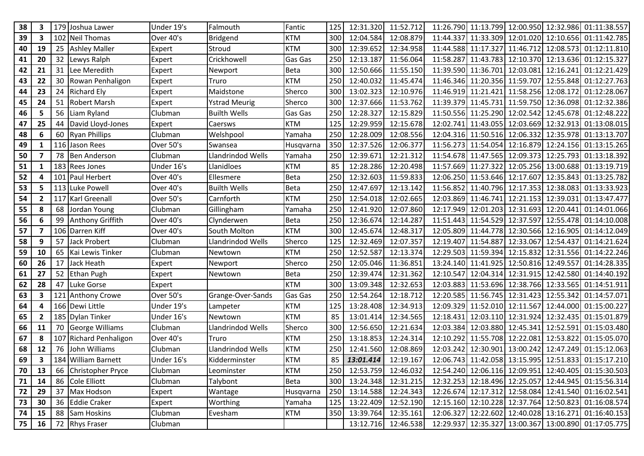| 38 | 3            | 179 | Joshua Lawer         | Under 19's | Falmouth             | Fantic      | 125 | 12:31.320 | 11:52.712           |           |                                         |                     |           | 11:26.790 11:13.799 12:00.950 12:32.986 01:11:38.557 |
|----|--------------|-----|----------------------|------------|----------------------|-------------|-----|-----------|---------------------|-----------|-----------------------------------------|---------------------|-----------|------------------------------------------------------|
| 39 | 3            | 102 | <b>Neil Thomas</b>   | Over 40's  | <b>Bridgend</b>      | <b>KTM</b>  | 300 | 12:04.584 | 12:08.879           |           |                                         |                     |           | 11:44.337 11:33.309 12:01.020 12:10.656 01:11:42.785 |
| 40 | 19           | 25  | <b>Ashley Maller</b> | Expert     | Stroud               | <b>KTM</b>  | 300 | 12:39.652 | 12:34.958           |           |                                         |                     |           | 11:44.588 11:17.327 11:46.712 12:08.573 01:12:11.810 |
| 41 | 20           | 32  | Lewys Ralph          | Expert     | Crickhowell          | Gas Gas     | 250 | 12:13.187 | 11:56.064           |           |                                         |                     |           | 11:58.287 11:43.783 12:10.370 12:13.636 01:12:15.327 |
| 42 | 21           | 31  | Lee Meredith         | Expert     | Newport              | <b>Beta</b> | 300 | 12:50.666 | 11:55.150           |           | 11:39.590 11:36.701                     | 12:03.081           | 12:16.241 | 01:12:21.429                                         |
| 43 | 22           | 30  | Rowan Penhaligon     | Expert     | Truro                | <b>KTM</b>  | 250 | 12:40.032 | 11:45.474           |           |                                         |                     |           | 11:46.346 11:20.356 11:59.707 12:55.848 01:12:27.763 |
| 44 | 23           | 24  | <b>Richard Ely</b>   | Expert     | Maidstone            | Sherco      | 300 | 13:02.323 | 12:10.976           |           | 11:46.919 11:21.421 11:58.256 12:08.172 |                     |           | 01:12:28.067                                         |
| 45 | 24           | 51  | <b>Robert Marsh</b>  | Expert     | <b>Ystrad Meurig</b> | Sherco      | 300 | 12:37.666 | 11:53.762           |           |                                         |                     |           | 11:39.379 11:45.731 11:59.750 12:36.098 01:12:32.386 |
| 46 | 5            | 56  | Liam Ryland          | Clubman    | <b>Builth Wells</b>  | Gas Gas     | 250 | 12:28.327 | 12:15.829           |           |                                         |                     |           | 11:50.556 11:25.290 12:02.542 12:45.678 01:12:48.222 |
| 47 | 25           | 44  | David Lloyd-Jones    | Expert     | Caersws              | <b>KTM</b>  | 125 | 12:29.959 | 12:15.678           |           |                                         |                     |           | 12:02.741 11:43.055 12:03.669 12:32.913 01:13:08.015 |
| 48 | 6            | 60  | <b>Ryan Phillips</b> | Clubman    | Welshpool            | Yamaha      | 250 | 12:28.009 | 12:08.556           |           | 12:04.316 11:50.516 12:06.332           |                     |           | 12:35.978 01:13:13.707                               |
| 49 | 1            | 116 | Jason Rees           | Over 50's  | Swansea              | Husqvarna   | 350 | 12:37.526 | 12:06.377           |           |                                         |                     |           | 11:56.273 11:54.054 12:16.879 12:24.156 01:13:15.265 |
| 50 | 7            | 78  | <b>Ben Anderson</b>  | Clubman    | Llandrindod Wells    | Yamaha      | 250 | 12:39.671 | 12:21.312           |           |                                         |                     |           | 11:54.678 11:47.565 12:09.373 12:25.793 01:13:18.392 |
| 51 | 1            | 183 | <b>Rees Jones</b>    | Under 16's | Llanidloes           | <b>KTM</b>  | 85  | 12:28.286 | 12:20.498           |           |                                         |                     |           | 11:57.669 11:27.322 12:05.256 13:00.688 01:13:19.719 |
| 52 | 4            |     | 101 Paul Herbert     | Over 40's  | Ellesmere            | <b>Beta</b> | 250 | 12:32.603 | 11:59.833           |           | 12:06.250 11:53.646 12:17.607           |                     |           | 12:35.843 01:13:25.782                               |
| 53 | 5            |     | 113 Luke Powell      | Over 40's  | <b>Builth Wells</b>  | <b>Beta</b> | 250 | 12:47.697 | 12:13.142           |           | 11:56.852 11:40.796 12:17.353 12:38.083 |                     |           | 01:13:33.923                                         |
| 54 | $\mathbf{2}$ | 117 | <b>Karl Greenall</b> | Over 50's  | Carnforth            | <b>KTM</b>  | 250 | 12:54.018 | 12:02.665           |           | 12:03.869 11:46.741 12:21.153           |                     | 12:39.031 | 01:13:47.477                                         |
| 55 | 8            | 68  | Jordan Young         | Clubman    | Gillingham           | Yamaha      | 250 | 12:41.920 | 12:07.860           |           |                                         |                     |           | 12:17.949 12:01.203 12:31.693 12:20.441 01:14:01.066 |
| 56 | 6            | 99  | Anthony Griffith     | Over 40's  | Clynderwen           | <b>Beta</b> | 250 | 12:36.674 | 12:14.287           |           | 11:51.443 11:54.529 12:37.597           |                     |           | 12:55.478 01:14:10.008                               |
| 57 | 7            | 106 | Darren Kiff          | Over 40's  | South Molton         | <b>KTM</b>  | 300 | 12:45.674 | 12:48.317           |           |                                         |                     |           | 12:05.809 11:44.778 12:30.566 12:16.905 01:14:12.049 |
| 58 | 9            | 57  | Jack Probert         | Clubman    | Llandrindod Wells    | Sherco      | 125 | 12:32.469 | 12:07.357           |           | 12:19.407 11:54.887 12:33.067           |                     | 12:54.437 | 01:14:21.624                                         |
| 59 | 10           | 65  | Kai Lewis Tinker     | Clubman    | Newtown              | <b>KTM</b>  | 250 | 12:52.587 | 12:13.374           |           | 12:29.503 11:59.394 12:15.832           |                     |           | 12:31.556 01:14:22.246                               |
| 60 | 26           | 17  | Jack Heath           | Expert     | Newport              | Sherco      | 250 | 12:05.046 | 11:36.851           | 13:24.140 |                                         | 11:41.925 12:50.816 | 12:49.557 | 01:14:28.335                                         |
| 61 | 27           | 52  | <b>Ethan Pugh</b>    | Expert     | Newtown              | <b>Beta</b> | 250 | 12:39.474 | 12:31.362           |           |                                         |                     |           | 12:10.547 12:04.314 12:31.915 12:42.580 01:14:40.192 |
| 62 | 28           | 47  | Luke Gorse           | Expert     |                      | <b>KTM</b>  | 300 | 13:09.348 | 12:32.653           |           |                                         |                     |           | 12:03.883 11:53.696 12:38.766 12:33.565 01:14:51.911 |
| 63 | 3            | 121 | <b>Anthony Crowe</b> | Over 50's  | Grange-Over-Sands    | Gas Gas     | 250 | 12:54.264 | 12:18.712           |           | 12:20.585 11:56.745 12:31.423 12:55.342 |                     |           | 01:14:57.071                                         |
| 64 | 4            |     | 166 Dewi Little      | Under 19's | Lampeter             | <b>KTM</b>  | 125 | 13:28.408 | 12:34.913           |           |                                         |                     |           | 12:09.329 11:52.010 12:11.567 12:44.000 01:15:00.227 |
| 65 | $\mathbf{2}$ |     | 185 Dylan Tinker     | Under 16's | Newtown              | <b>KTM</b>  | 85  | 13:01.414 | 12:34.565           |           |                                         |                     |           | 12:18.431 12:03.110 12:31.924 12:32.435 01:15:01.879 |
| 66 | 11           | 70  | George Williams      | Clubman    | Llandrindod Wells    | Sherco      | 300 | 12:56.650 | 12:21.634           | 12:03.384 | 12:03.880 12:45.341                     |                     | 12:52.591 | 01:15:03.480                                         |
| 67 | 8            | 107 | Richard Penhaligon   | Over 40's  | Truro                | <b>KTM</b>  | 250 | 13:18.853 | 12:24.314           |           |                                         |                     |           | 12:10.292 11:55.708 12:22.081 12:53.822 01:15:05.070 |
| 68 | 12           | 76  | John Williams        | Clubman    | Llandrindod Wells    | <b>KTM</b>  | 250 | 12:41.560 | 12:08.869           |           | 12:03.242 12:30.901 13:00.242           |                     |           | 12:47.249 01:15:12.063                               |
| 69 | 3            |     | 184 William Barnett  | Under 16's | Kidderminster        | <b>KTM</b>  | 85  | 13:01.414 | 12:19.167           |           |                                         |                     |           | 12:06.743 11:42.058 13:15.995 12:51.833 01:15:17.210 |
| 70 | 13           |     | 66 Christopher Pryce | Clubman    | Leominster           | <b>KTM</b>  | 250 |           | 12:53.759 12:46.032 |           |                                         |                     |           | 12:54.240 12:06.116 12:09.951 12:40.405 01:15:30.503 |
| 71 | 14           | 86  | Cole Elliott         | Clubman    | Talybont             | <b>Beta</b> | 300 |           | 13:24.348 12:31.215 |           |                                         |                     |           | 12:32.253 12:18.496 12:25.057 12:44.945 01:15:56.314 |
| 72 | 29           | 37  | Max Hodson           | Expert     | Wantage              | Husqvarna   | 250 |           | 13:14.588 12:24.343 |           |                                         |                     |           | 12:26.674 12:17.312 12:58.084 12:41.540 01:16:02.541 |
| 73 | 30           | 36  | <b>Eddie Craker</b>  | Expert     | Worthing             | Yamaha      | 125 |           | 13:22.409 12:52.190 |           |                                         |                     |           | 12:15.160 12:10.228 12:37.764 12:50.823 01:16:08.574 |
| 74 | 15           | 88  | <b>Sam Hoskins</b>   | Clubman    | Evesham              | <b>KTM</b>  | 350 | 13:39.764 | 12:35.161           |           |                                         |                     |           | 12:06.327 12:22.602 12:40.028 13:16.271 01:16:40.153 |
| 75 | 16           |     | 72 Rhys Fraser       | Clubman    |                      |             |     |           | 13:12.716 12:46.538 |           |                                         |                     |           | 12:29.937 12:35.327 13:00.367 13:00.890 01:17:05.775 |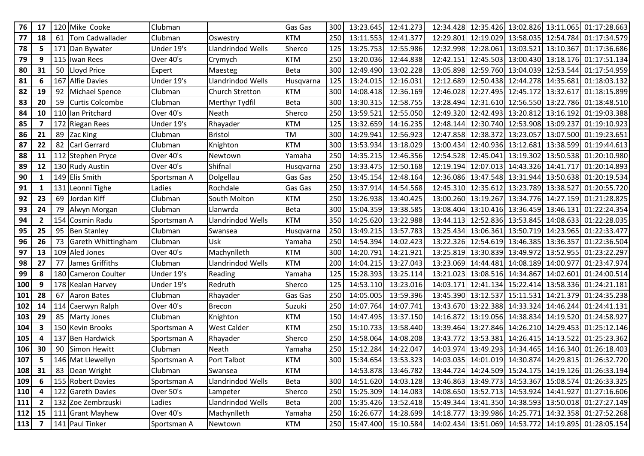| 76         | 17                      | 120 | Mike Cooke             | Clubman     |                    | Gas Gas     | 300 | 13:23.645               | 12:41.273           |           |                     |                                         |                     | 12:34.428 12:35.426 13:02.826 13:11.065 01:17:28.663 |
|------------|-------------------------|-----|------------------------|-------------|--------------------|-------------|-----|-------------------------|---------------------|-----------|---------------------|-----------------------------------------|---------------------|------------------------------------------------------|
| ${\bf 77}$ | 18                      | 61  | <b>Tom Cadwallader</b> | Clubman     | Oswestry           | <b>KTM</b>  | 250 | 13:11.553               | 12:41.377           | 12:29.801 |                     | 12:19.029 13:58.035 12:54.784           |                     | 01:17:34.579                                         |
| 78         | 5                       |     | 171 Dan Bywater        | Under 19's  | Llandrindod Wells  | Sherco      | 125 | 13:25.753               | 12:55.986           |           |                     | 12:32.998 12:28.061 13:03.521 13:10.367 |                     | 01:17:36.686                                         |
| 79         | 9                       | 115 | Iwan Rees              | Over 40's   | Crymych            | <b>KTM</b>  | 250 | 13:20.036               | 12:44.838           | 12:42.151 |                     |                                         |                     | 12:45.503 13:00.430 13:18.176 01:17:51.134           |
| 80         | 31                      | 50  | Lloyd Price            | Expert      | Maesteg            | <b>Beta</b> | 300 | 12:49.490               | 13:02.228           | 13:05.898 | 12:59.760           | 13:04.039                               | 12:53.544           | 01:17:54.959                                         |
| 81         | 6                       |     | 167 Alfie Davies       | Under 19's  | Llandrindod Wells  | Husqvarna   | 125 | 13:24.015               | 12:16.031           |           |                     | 12:12.689 12:50.438 12:44.278 14:35.681 |                     | 01:18:03.132                                         |
| 82         | 19                      | 92  | Michael Spence         | Clubman     | Church Stretton    | <b>KTM</b>  | 300 | 14:08.418               | 12:36.169           | 12:46.028 |                     | 12:27.495 12:45.172                     | 13:32.617           | 01:18:15.899                                         |
| 83         | 20                      | 59  | <b>Curtis Colcombe</b> | Clubman     | Merthyr Tydfil     | Beta        | 300 | 13:30.315               | 12:58.755           | 13:28.494 | 12:31.610           | 12:56.550                               | 13:22.786           | 01:18:48.510                                         |
| 84         | 10                      |     | 110 Ian Pritchard      | Over 40's   | Neath              | Sherco      | 250 | 13:59.521               | 12:55.050           |           |                     |                                         |                     | 12:49.320 12:42.493 13:20.812 13:16.192 01:19:03.388 |
| 85         | 7                       |     | 172 Riegan Rees        | Under 19's  | Rhayader           | <b>KTM</b>  | 125 | 13:32.659               | 14:16.235           | 12:48.144 |                     | 12:30.740 12:53.908 13:09.237           |                     | 01:19:10.923                                         |
| 86         | 21                      | 89  | Zac King               | Clubman     | <b>Bristol</b>     | TM          | 300 | 14:29.941               | 12:56.923           | 12:47.858 | 12:38.372           | 13:23.057                               | 13:07.500           | 01:19:23.651                                         |
| 87         | 22                      | 82  | <b>Carl Gerrard</b>    | Clubman     | Knighton           | <b>KTM</b>  | 300 | 13:53.934               | 13:18.029           |           |                     | 13:00.434 12:40.936 13:12.681 13:38.599 |                     | 01:19:44.613                                         |
| 88         | 11                      |     | 112 Stephen Pryce      | Over 40's   | Newtown            | Yamaha      | 250 | 14:35.215               | 12:46.356           |           |                     |                                         |                     | 12:54.528 12:45.041 13:19.302 13:50.538 01:20:10.980 |
| 89         | 12                      |     | 130 Rudy Austin        | Over 40's   | Shifnal            | Husqvarna   | 250 | 13:33.475               | 12:50.168           | 12:19.194 |                     | 12:07.013 14:43.326                     | 14:41.717           | 01:20:14.893                                         |
| 90         | $\mathbf{1}$            |     | 149 Elis Smith         | Sportsman A | Dolgellau          | Gas Gas     | 250 | 13:45.154               | 12:48.164           |           |                     | 12:36.086 13:47.548 13:31.944 13:50.638 |                     | 01:20:19.534                                         |
| 91         | 1                       |     | 131 Leonni Tighe       | Ladies      | Rochdale           | Gas Gas     | 250 | 13:37.914               | 14:54.568           |           |                     | 12:45.310 12:35.612 13:23.789 13:38.527 |                     | 01:20:55.720                                         |
| 92         | 23                      | 69  | Jordan Kiff            | Clubman     | South Molton       | <b>KTM</b>  | 250 | 13:26.938               | 13:40.425           | 13:00.260 | 13:19.267           | 13:34.776                               | 14:27.159           | 01:21:28.825                                         |
| 93         | 24                      | 79  | Alwyn Morgan           | Clubman     | Llanwrda           | <b>Beta</b> | 300 | 15:04.359               | 13:38.585           |           |                     | 13:08.404 13:10.416 13:36.459 13:46.131 |                     | 01:22:24.354                                         |
| 94         | $\mathbf{2}$            | 154 | Cosmin Radu            | Sportsman A | Llandrindod Wells  | <b>KTM</b>  | 350 | 14:25.620               | 13:22.988           |           |                     |                                         |                     | 13:44.113 12:52.836 13:53.845 14:08.633 01:22:28.035 |
| 95         | 25                      | 95  | <b>Ben Stanley</b>     | Clubman     | Swansea            | Husqvarna   | 250 | 13:49.215               | 13:57.783           | 13:25.434 | 13:06.361           | 13:50.719                               | 14:23.965           | 01:22:33.477                                         |
| 96         | 26                      | 73  | Gareth Whittingham     | Clubman     | Usk                | Yamaha      | 250 | 14:54.394               | 14:02.423           |           |                     | 13:22.326 12:54.619 13:46.385 13:36.357 |                     | 01:22:36.504                                         |
| 97         | 13                      | 109 | <b>Aled Jones</b>      | Over 40's   | Machynlleth        | <b>KTM</b>  | 300 | 14:20.791               | 14:21.921           | 13:25.819 | 13:30.839 13:49.972 |                                         | 13:52.955           | 01:23:22.297                                         |
| 98         | 27                      | 77  | James Griffiths        | Clubman     | Llandrindod Wells  | <b>KTM</b>  | 200 | 14:04.215               | 13:27.043           | 13:23.069 | 14:44.481           | 14:08.189                               | 14:00.977           | 01:23:47.974                                         |
| 99         | 8                       | 180 | Cameron Coulter        | Under 19's  | Reading            | Yamaha      | 125 | 15:28.393               | 13:25.114           |           |                     | 13:21.023 13:08.516 14:34.867 14:02.601 |                     | 01:24:00.514                                         |
| 100        | 9                       |     | 178 Kealan Harvey      | Under 19's  | Redruth            | Sherco      | 125 | 14:53.110               | 13:23.016           | 14:03.171 |                     |                                         |                     | 12:41.134 15:22.414 13:58.336 01:24:21.181           |
| 101        | 28                      | 67  | <b>Aaron Bates</b>     | Clubman     | Rhayader           | Gas Gas     | 250 | 14:05.005               | 13:59.396           | 13:45.390 | 13:12.537           | 15:11.531                               | 14:21.379           | 01:24:35.238                                         |
| 102        | 14                      | 114 | Caerwyn Ralph          | Over 40's   | <b>Brecon</b>      | Suzuki      | 250 | 14:07.764               | 14:07.741           | 13:43.670 |                     | 13:22.388 14:33.324 14:46.244           |                     | 01:24:41.131                                         |
| 103        | 29                      | 85  | <b>Marty Jones</b>     | Clubman     | Knighton           | <b>KTM</b>  | 150 | 14:47.495               | 13:37.150           | 14:16.872 |                     | 13:19.056 14:38.834 14:19.520           |                     | 01:24:58.927                                         |
| 104        | $\overline{\mathbf{3}}$ | 150 | <b>Kevin Brooks</b>    | Sportsman A | <b>West Calder</b> | <b>KTM</b>  | 250 | 15:10.733               | 13:58.440           | 13:39.464 | 13:27.846           | 14:26.210                               | 14:29.453           | 01:25:12.146                                         |
| 105        | 4                       |     | 137 Ben Hardwick       | Sportsman A | Rhayader           | Sherco      | 250 | 14:58.064               | 14:08.208           | 13:43.772 | 13:53.381           |                                         | 14:26.415 14:13.522 | 01:25:23.362                                         |
| 106        | 30                      | 90  | <b>Simon Hewitt</b>    | Clubman     | Neath              | Yamaha      | 250 | 15:12.284               | 14:22.047           |           |                     |                                         |                     | 14:03.974 13:49.293 14:34.465 14:16.340 01:26:18.403 |
| 107        | 5                       |     | 146 Mat Llewellyn      | Sportsman A | Port Talbot        | <b>KTM</b>  | 300 | 15:34.654               | 13:53.323           |           |                     |                                         |                     | 14:03.035 14:01.019 14:30.874 14:29.815 01:26:32.720 |
| 108        | 31                      |     | 83 Dean Wright         | Clubman     | Swansea            | <b>KTM</b>  |     |                         | 14:53.878 13:46.782 |           |                     |                                         |                     | 13:44.724 14:24.509 15:24.175 14:19.126 01:26:33.194 |
| 109        | 6                       |     | 155 Robert Davies      | Sportsman A | Llandrindod Wells  | <b>Beta</b> | 300 |                         | 14:51.620 14:03.128 |           |                     |                                         |                     | 13:46.863 13:49.773 14:53.367 15:08.574 01:26:33.325 |
| 110        | 4                       |     | 122 Gareth Davies      | Over 50's   | Lampeter           | Sherco      | 250 |                         | 15:25.309 14:14.083 |           |                     |                                         |                     | 14:08.650 13:52.713 14:53.924 14:41.927 01:27:16.606 |
| 111        | $\overline{2}$          |     | 132 Zoe Zembrzuski     | Ladies      | Llandrindod Wells  | <b>Beta</b> | 200 |                         | 15:35.426 13:52.418 |           |                     |                                         |                     | 15:49.344 13:41.350 14:38.593 13:50.018 01:27:27.149 |
| 112        | 15                      |     | 111 Grant Mayhew       | Over 40's   | Machynlleth        | Yamaha      | 250 |                         | 16:26.677 14:28.699 |           |                     |                                         |                     | 14:18.777 13:39.986 14:25.771 14:32.358 01:27:52.268 |
| <b>113</b> | $\overline{7}$          |     | 141 Paul Tinker        | Sportsman A | Newtown            | <b>KTM</b>  |     | 250 15:47.400 15:10.584 |                     |           |                     |                                         |                     | 14:02.434 13:51.069 14:53.772 14:19.895 01:28:05.154 |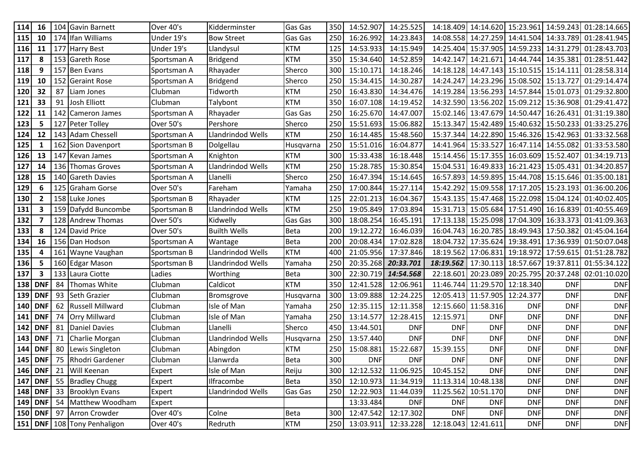| 114 | 16             | 104 | <b>Gavin Barnett</b>              | Over 40's   | Kidderminster       | Gas Gas        | 350 | 14:52.907     | 14:25.525           | 14:18.409           |                     |                               |            | 14:14.620 15:23.961 14:59.243 01:28:14.665           |
|-----|----------------|-----|-----------------------------------|-------------|---------------------|----------------|-----|---------------|---------------------|---------------------|---------------------|-------------------------------|------------|------------------------------------------------------|
| 115 | 10             |     | 174 Ifan Williams                 | Under 19's  | <b>Bow Street</b>   | Gas Gas        | 250 | 16:26.992     | 14:23.843           | 14:08.558           |                     |                               |            | 14:27.259 14:41.504 14:33.789 01:28:41.945           |
| 116 | 11             |     | 177 Harry Best                    | Under 19's  | Llandysul           | <b>KTM</b>     | 125 | 14:53.933     | 14:15.949           |                     |                     | 14:25.404 15:37.905 14:59.233 |            | 14:31.279 01:28:43.703                               |
| 117 | 8              |     | 153 Gareth Rose                   | Sportsman A | <b>Bridgend</b>     | <b>KTM</b>     | 350 | 15:34.640     | 14:52.859           | 14:42.147           |                     | 14:21.671 14:44.744           |            | 14:35.381 01:28:51.442                               |
| 118 | 9              |     | 157 Ben Evans                     | Sportsman A | Rhayader            | Sherco         | 300 | 15:10.171     | 14:18.246           | 14:18.128           |                     | 14:47.143 15:10.515           | 15:14.111  | 01:28:58.314                                         |
| 119 | 10             |     | 152 Geraint Rose                  | Sportsman A | Bridgend            | Sherco         | 250 | 15:34.415     | 14:30.287           | 14:24.247           |                     |                               |            | 14:23.296 15:08.502 15:13.727 01:29:14.474           |
| 120 | 32             | 87  | Liam Jones                        | Clubman     | Tidworth            | <b>KTM</b>     | 250 | 16:43.830     | 14:34.476           | 14:19.284           |                     | 13:56.293 14:57.844           |            | 15:01.073 01:29:32.800                               |
| 121 | 33             | 91  | Josh Elliott                      | Clubman     | Talybont            | <b>KTM</b>     | 350 | 16:07.108     | 14:19.452           | 14:32.590           | 13:56.202 15:09.212 |                               |            | 15:36.908 01:29:41.472                               |
| 122 | 11             | 142 | Cameron James                     | Sportsman A | Rhayader            | Gas Gas        | 250 | 16:25.670     | 14:47.007           | 15:02.146           | 13:47.679 14:50.447 |                               |            | 16:26.431 01:31:19.380                               |
| 123 | 5              |     | 127 Peter Tolley                  | Over 50's   | Pershore            | Sherco         | 250 | 15:51.693     | 15:06.882           | 15:13.347           |                     | 15:42.489 15:40.632           |            | 15:50.233 01:33:25.276                               |
| 124 | 12             |     | 143 Adam Chessell                 | Sportsman A | Llandrindod Wells   | <b>KTM</b>     | 250 | 16:14.485     | 15:48.560           | 15:37.344           |                     | 14:22.890 15:46.326           |            | 15:42.963 01:33:32.568                               |
| 125 | 1              |     | 162 Sion Davenport                | Sportsman B | Dolgellau           | Husqvarna      | 250 | 15:51.016     | 16:04.877           |                     |                     |                               |            | 14:41.964 15:33.527 16:47.114 14:55.082 01:33:53.580 |
| 126 | 13             |     | 147 Kevan James                   | Sportsman A | Knighton            | <b>KTM</b>     | 300 | 15:33.438     | 16:18.448           | 15:14.456           |                     | 15:17.355 16:03.609 15:52.407 |            | 01:34:19.713                                         |
| 127 | 14             |     | 136 Thomas Groves                 | Sportsman A | Llandrindod Wells   | <b>KTM</b>     | 250 | 15:28.785     | 15:30.854           | 15:04.531           |                     | 16:49.833 16:21.423           | 15:05.431  | 01:34:20.857                                         |
| 128 | 15             |     | 140 Gareth Davies                 | Sportsman A | Llanelli            | Sherco         | 250 | 16:47.394     | 15:14.645           |                     |                     |                               |            | 16:57.893 14:59.895 15:44.708 15:15.646 01:35:00.181 |
| 129 | 6              | 125 | Graham Gorse                      | Over 50's   | Fareham             | Yamaha         | 250 | 17:00.844     | 15:27.114           | 15:42.292           |                     |                               |            | 15:09.558 17:17.205 15:23.193 01:36:00.206           |
| 130 | $\mathbf{2}$   | 158 | Luke Jones                        | Sportsman B | Rhayader            | <b>KTM</b>     | 125 | 22:01.213     | 16:04.367           | 15:43.135           |                     | 15:47.468 15:22.098           | 15:04.124  | 01:40:02.405                                         |
| 131 | 3              |     | 159 Dafydd Buncombe               | Sportsman B | Llandrindod Wells   | <b>KTM</b>     | 250 | 19:05.849     | 17:03.894           |                     |                     |                               |            | 15:31.713 15:05.684 17:51.490 16:16.839 01:40:55.469 |
| 132 | 7              |     | 128 Andrew Thomas                 | Over 50's   | Kidwelly            | Gas Gas        | 300 | 18:08.254     | 16:45.191           |                     |                     | 17:13.138 15:25.098 17:04.309 |            | 16:33.373 01:41:09.363                               |
| 133 | 8              |     | 124 David Price                   | Over 50's   | <b>Builth Wells</b> | Beta           | 200 | 19:12.272     | 16:46.039           | 16:04.743           |                     | 16:20.785 18:49.943           | 17:50.382  | 01:45:04.164                                         |
| 134 | 16             |     | 156 Dan Hodson                    | Sportsman A | Wantage             | <b>Beta</b>    | 200 | 20:08.434     | 17:02.828           | 18:04.732           |                     |                               |            | 17:35.624 19:38.491 17:36.939 01:50:07.048           |
| 135 | 4              |     | 161 Wayne Vaughan                 | Sportsman B | Llandrindod Wells   | <b>KTM</b>     | 400 | 21:05.956     | 17:37.846           | 18:19.562           | 17:06.831 19:18.972 |                               |            | 17:59.615 01:51:28.782                               |
| 136 | 5              |     | 160 Edgar Mason                   | Sportsman B | Llandrindod Wells   | Yamaha         | 250 | 20:35.268     | 20:33.701           | 18:19.562           | 17:30.113 18:57.667 |                               | 19:37.81   | 01:55:34.122                                         |
| 137 | 3              |     | 133 Laura Ciotte                  | Ladies      | Worthing            | <b>Beta</b>    | 300 | 22:30.719     | 14:54.568           | 22:18.601           |                     | 20:23.089 20:25.795           |            | 20:37.248 02:01:10.020                               |
| 138 | <b>DNF</b>     | 84  | Thomas White                      | Clubman     | Caldicot            | <b>KTM</b>     | 350 | 12:41.528     | 12:06.961           | 11:46.744           | 11:29.570 12:18.340 |                               | <b>DNF</b> | <b>DNF</b>                                           |
| 139 | <b>DNF</b>     | 93  | Seth Grazier                      | Clubman     | Bromsgrove          | Husqvarna      | 300 | 13:09.888     | 12:24.225           | 12:05.413           | 11:57.905 12:24.377 |                               | <b>DNF</b> | <b>DNF</b>                                           |
| 140 | <b>DNF</b>     | 62  | <b>Russell Millward</b>           | Clubman     | Isle of Man         | Yamaha         | 250 | 12:35.115     | 12:11.358           |                     | 12:15.660 11:58.316 | <b>DNF</b>                    | <b>DNF</b> | <b>DNF</b>                                           |
| 141 | <b>DNF</b>     | 74  | <b>Orry Millward</b>              | Clubman     | Isle of Man         | Yamaha         | 250 | 13:14.577     | 12:28.415           | 12:15.971           | <b>DNF</b>          | <b>DNF</b>                    | <b>DNF</b> | <b>DNF</b>                                           |
| 142 | <b>DNF</b>     | 81  | Daniel Davies                     | Clubman     | Llanelli            | Sherco         | 450 | 13:44.501     | <b>DNF</b>          | <b>DNF</b>          | <b>DNF</b>          | <b>DNF</b>                    | <b>DNF</b> | <b>DNF</b>                                           |
| 143 | <b>DNF</b>     | 71  | Charlie Morgan                    | Clubman     | Llandrindod Wells   | Husqvarna      | 250 | 13:57.440     | <b>DNF</b>          | <b>DNF</b>          | <b>DNF</b>          | <b>DNF</b>                    | <b>DNF</b> | <b>DNF</b>                                           |
| 144 | <b>DNF</b>     | 80  | Lewis Singleton                   | Clubman     | Abingdon            | <b>KTM</b>     | 250 | 15:08.881     | 15:22.687           | 15:39.155           | <b>DNF</b>          | <b>DNF</b>                    | <b>DNF</b> | <b>DNF</b>                                           |
| 145 | <b>DNF</b>     | 75  | Rhodri Gardener                   | Clubman     | Llanwrda            | <b>Beta</b>    | 300 | <b>DNF</b>    | <b>DNF</b>          | <b>DNF</b>          | <b>DNF</b>          | <b>DNF</b>                    | <b>DNF</b> | <b>DNF</b>                                           |
|     |                |     | 146   DNF   21   Will Keenan      | Expert      | Isle of Man         | Reiju          | 300 |               | 12:12.532 11:06.925 | 10:45.152           | <b>DNF</b>          | <b>DNF</b>                    | <b>DNF</b> | <b>DNF</b>                                           |
|     | <b>147 DNF</b> |     | 55 Bradley Chugg                  | Expert      | Ilfracombe          | <b>Beta</b>    | 350 | 12:10.973     | 11:34.919           |                     | 11:13.314 10:48.138 | <b>DNF</b>                    | <b>DNF</b> | <b>DNF</b>                                           |
|     | <b>148 DNF</b> |     | 33 Brooklyn Evans                 | Expert      | Llandrindod Wells   | <b>Gas Gas</b> |     | 250 12:22.903 | 11:44.039           |                     | 11:25.562 10:51.170 | <b>DNF</b>                    | <b>DNF</b> | <b>DNF</b>                                           |
|     | 149 DNF        | 54  | Matthew Woodham                   | Expert      |                     |                |     | 13:33.484     | <b>DNF</b>          | <b>DNF</b>          | <b>DNF</b>          | <b>DNF</b>                    | <b>DNF</b> | <b>DNF</b>                                           |
|     | <b>150 DNF</b> | 97  | Arron Crowder                     | Over 40's   | Colne               | <b>Beta</b>    | 300 | 12:47.542     | 12:17.302           | <b>DNF</b>          | <b>DNF</b>          | <b>DNF</b>                    | <b>DNF</b> | <b>DNF</b>                                           |
|     |                |     | 151   DNF   108   Tony Penhaligon | Over 40's   | Redruth             | <b>KTM</b>     |     | 250 13:03.911 | 12:33.228           | 12:18.043 12:41.611 |                     | <b>DNF</b>                    | <b>DNF</b> | <b>DNF</b>                                           |